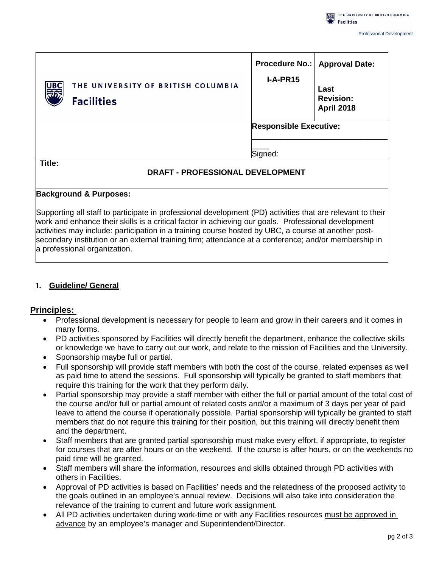|            |                                                         | <b>Procedure No.:</b>         | <b>Approval Date:</b>                         |
|------------|---------------------------------------------------------|-------------------------------|-----------------------------------------------|
| <b>UBC</b> | THE UNIVERSITY OF BRITISH COLUMBIA<br><b>Facilities</b> | $I-A-PR15$                    | Last<br><b>Revision:</b><br><b>April 2018</b> |
|            |                                                         | <b>Responsible Executive:</b> |                                               |
|            |                                                         | Signed:                       |                                               |
| Title:     | DRAFT - PROFESSIONAL DEVELOPMENT                        |                               |                                               |

### **Background & Purposes:**

Supporting all staff to participate in professional development (PD) activities that are relevant to their work and enhance their skills is a critical factor in achieving our goals. Professional development activities may include: participation in a training course hosted by UBC, a course at another postsecondary institution or an external training firm; attendance at a conference; and/or membership in a professional organization.

## **1. Guideline/ General**

## **Principles:**

- Professional development is necessary for people to learn and grow in their careers and it comes in many forms.
- PD activities sponsored by Facilities will directly benefit the department, enhance the collective skills or knowledge we have to carry out our work, and relate to the mission of Facilities and the University.
- Sponsorship maybe full or partial.
- Full sponsorship will provide staff members with both the cost of the course, related expenses as well as paid time to attend the sessions. Full sponsorship will typically be granted to staff members that require this training for the work that they perform daily.
- Partial sponsorship may provide a staff member with either the full or partial amount of the total cost of the course and/or full or partial amount of related costs and/or a maximum of 3 days per year of paid leave to attend the course if operationally possible. Partial sponsorship will typically be granted to staff members that do not require this training for their position, but this training will directly benefit them and the department.
- Staff members that are granted partial sponsorship must make every effort, if appropriate, to register for courses that are after hours or on the weekend. If the course is after hours, or on the weekends no paid time will be granted.
- Staff members will share the information, resources and skills obtained through PD activities with others in Facilities.
- Approval of PD activities is based on Facilities' needs and the relatedness of the proposed activity to the goals outlined in an employee's annual review. Decisions will also take into consideration the relevance of the training to current and future work assignment.
- All PD activities undertaken during work-time or with any Facilities resources must be approved in advance by an employee's manager and Superintendent/Director.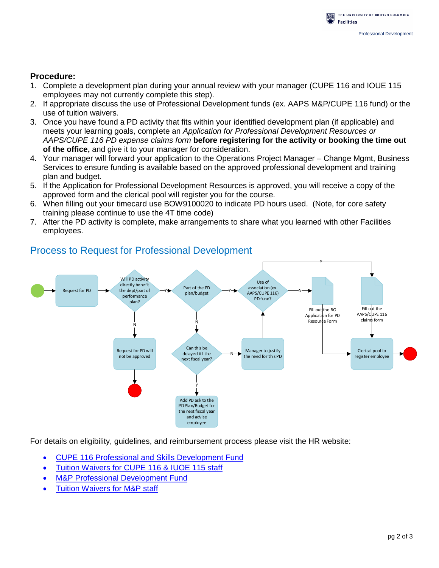

## **Procedure:**

- 1. Complete a development plan during your annual review with your manager (CUPE 116 and IOUE 115 employees may not currently complete this step).
- 2. If appropriate discuss the use of Professional Development funds (ex. AAPS M&P/CUPE 116 fund) or the use of tuition waivers.
- 3. Once you have found a PD activity that fits within your identified development plan (if applicable) and meets your learning goals, complete an *Application for Professional Development Resources or AAPS/CUPE 116 PD expense claims form* **before registering for the activity or booking the time out of the office,** and give it to your manager for consideration.
- 4. Your manager will forward your application to the Operations Project Manager Change Mgmt, Business Services to ensure funding is available based on the approved professional development and training plan and budget.
- 5. If the Application for Professional Development Resources is approved, you will receive a copy of the approved form and the clerical pool will register you for the course.
- 6. When filling out your timecard use BOW9100020 to indicate PD hours used. (Note, for core safety training please continue to use the 4T time code)
- 7. After the PD activity is complete, make arrangements to share what you learned with other Facilities employees.



## Process to Request for Professional Development

For details on eligibility, guidelines, and reimbursement process please visit the HR website:

- [CUPE 116 Professional and Skills Development Fund](http://www.hr.ubc.ca/learning-engagement/leading-learning/pd-funding/cupe-116/)
- [Tuition Waivers for CUPE 116 & IUOE 115 staff](http://www.hr.ubc.ca/wellbeing-benefits/benefits/details/professional-development/bcgeuo-116-2278-2950-ea-farm-iuoe-115/)
- [M&P Professional Development Fund](http://www.hr.ubc.ca/learning-engagement/leading-learning/pd-funding/management-professional/)
- [Tuition Waivers for M&P staff](http://www.hr.ubc.ca/wellbeing-benefits/benefits/details/professional-development/administrative-executive-management-professional-tra/)